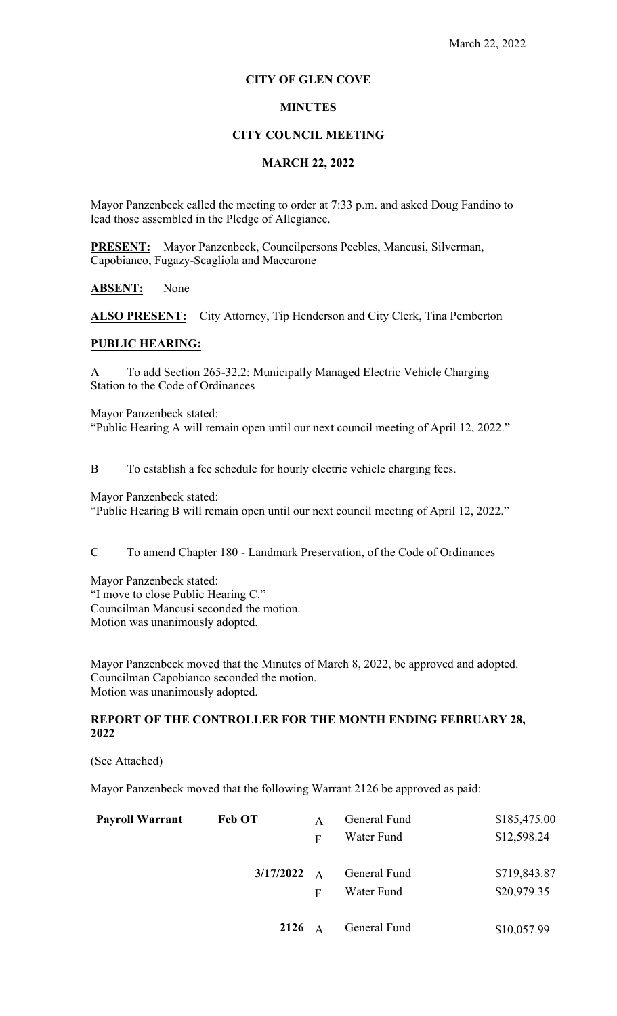# **CITY OF GLEN COVE**

# **MINUTES**

#### **CITY COUNCIL MEETING**

### **MARCH 22, 2022**

Mayor Panzenbeck called the meeting to order at 7:33 p.m. and asked Doug Fandino to lead those assembled in the Pledge of Allegiance.

**PRESENT:** Mayor Panzenbeck, Councilpersons Peebles, Mancusi, Silverman, Capobianco, Fugazy-Scagliola and Maccarone

#### **ABSENT:** None

ALSO PRESENT: City Attorney, Tip Henderson and City Clerk, Tina Pemberton

#### **PUBLIC HEARING:**

A To add Section 265-32.2: Municipally Managed Electric Vehicle Charging Station to the Code of Ordinances

Mayor Panzenbeck stated:

"Public Hearing A will remain open until our next council meeting of April 12, 2022."

B To establish a fee schedule for hourly electric vehicle charging fees.

Mayor Panzenbeck stated:

"Public Hearing B will remain open until our next council meeting of April 12, 2022."

C To amend Chapter 180 - Landmark Preservation, of the Code of Ordinances

Mayor Panzenbeck stated: "I move to close Public Hearing C." Councilman Mancusi seconded the motion. Motion was unanimously adopted.

Mayor Panzenbeck moved that the Minutes of March 8, 2022, be approved and adopted. Councilman Capobianco seconded the motion. Motion was unanimously adopted.

# **REPORT OF THE CONTROLLER FOR THE MONTH ENDING FEBRUARY 28, 2022**

(See Attached)

Mayor Panzenbeck moved that the following Warrant 2126 be approved as paid:

| <b>Payroll Warrant</b> | <b>Feb OT</b> | A              | General Fund | \$185,475.00 |
|------------------------|---------------|----------------|--------------|--------------|
|                        |               | F              | Water Fund   | \$12,598.24  |
|                        | 3/17/2022     | $\overline{A}$ | General Fund | \$719,843.87 |
|                        |               | F              | Water Fund   | \$20,979.35  |
|                        | 2126          | A              | General Fund | \$10,057.99  |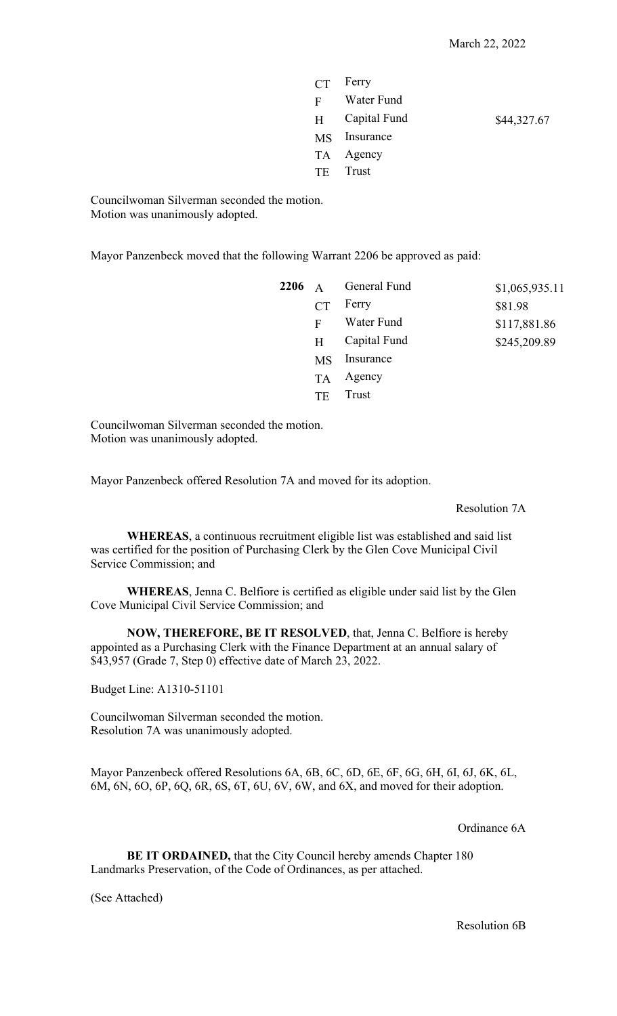|       | $CT$ Ferry   |             |
|-------|--------------|-------------|
| $F -$ | Water Fund   |             |
| H     | Capital Fund | \$44,327.67 |
|       | MS Insurance |             |
|       | TA Agency    |             |
|       | TE Trust     |             |
|       |              |             |

Councilwoman Silverman seconded the motion. Motion was unanimously adopted.

Mayor Panzenbeck moved that the following Warrant 2206 be approved as paid:

|           | $2206$ A General Fund | \$1,065,935.11 |
|-----------|-----------------------|----------------|
| CT        | Ferry                 | \$81.98        |
| F         | Water Fund            | \$117,881.86   |
| H         | Capital Fund          | \$245,209.89   |
| MS        | Insurance             |                |
| <b>TA</b> | Agency                |                |
| TF        | Trust                 |                |
|           |                       |                |

Councilwoman Silverman seconded the motion. Motion was unanimously adopted.

Mayor Panzenbeck offered Resolution 7A and moved for its adoption.

### Resolution 7A

**WHEREAS**, a continuous recruitment eligible list was established and said list was certified for the position of Purchasing Clerk by the Glen Cove Municipal Civil Service Commission; and

**WHEREAS**, Jenna C. Belfiore is certified as eligible under said list by the Glen Cove Municipal Civil Service Commission; and

**NOW, THEREFORE, BE IT RESOLVED**, that, Jenna C. Belfiore is hereby appointed as a Purchasing Clerk with the Finance Department at an annual salary of \$43,957 (Grade 7, Step 0) effective date of March 23, 2022.

Budget Line: A1310-51101

Councilwoman Silverman seconded the motion. Resolution 7A was unanimously adopted.

Mayor Panzenbeck offered Resolutions 6A, 6B, 6C, 6D, 6E, 6F, 6G, 6H, 6I, 6J, 6K, 6L, 6M, 6N, 6O, 6P, 6Q, 6R, 6S, 6T, 6U, 6V, 6W, and 6X, and moved for their adoption.

# Ordinance 6A

**BE IT ORDAINED,** that the City Council hereby amends Chapter 180 Landmarks Preservation, of the Code of Ordinances, as per attached.

(See Attached)

Resolution 6B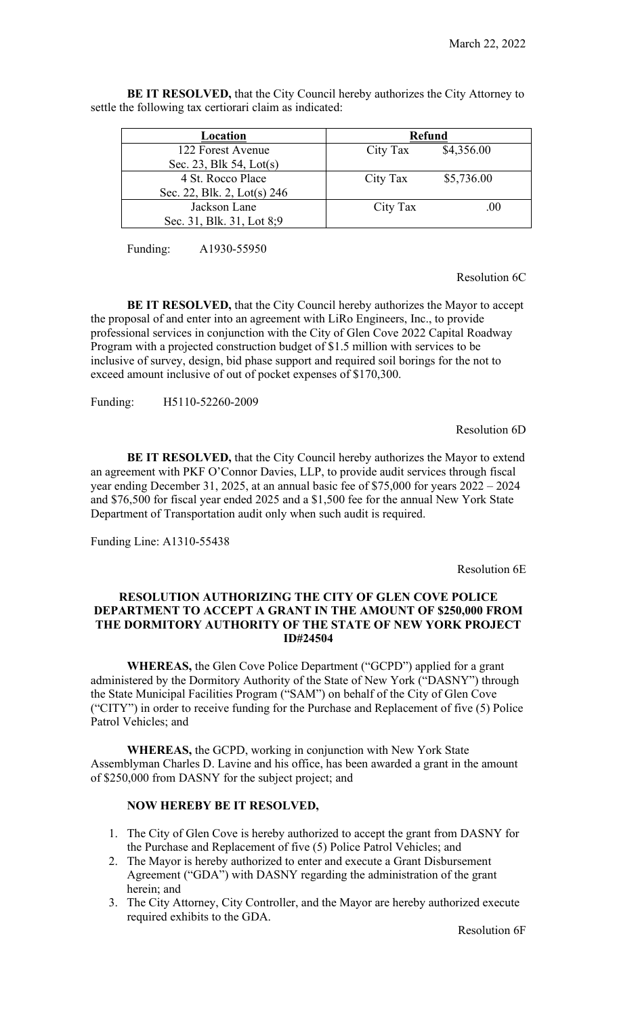**BE IT RESOLVED,** that the City Council hereby authorizes the City Attorney to settle the following tax certiorari claim as indicated:

| Location                    | <b>Refund</b>          |  |
|-----------------------------|------------------------|--|
| 122 Forest Avenue           | \$4,356.00<br>City Tax |  |
| Sec. 23, Blk 54, Lot(s)     |                        |  |
| 4 St. Rocco Place           | \$5,736.00<br>City Tax |  |
| Sec. 22, Blk. 2, Lot(s) 246 |                        |  |
| Jackson Lane                | City Tax<br>.00        |  |
| Sec. 31, Blk. 31, Lot 8;9   |                        |  |

Funding: A1930-55950

Resolution 6C

**BE IT RESOLVED,** that the City Council hereby authorizes the Mayor to accept the proposal of and enter into an agreement with LiRo Engineers, Inc., to provide professional services in conjunction with the City of Glen Cove 2022 Capital Roadway Program with a projected construction budget of \$1.5 million with services to be inclusive of survey, design, bid phase support and required soil borings for the not to exceed amount inclusive of out of pocket expenses of \$170,300.

Funding: H5110-52260-2009

Resolution 6D

**BE IT RESOLVED,** that the City Council hereby authorizes the Mayor to extend an agreement with PKF O'Connor Davies, LLP, to provide audit services through fiscal year ending December 31, 2025, at an annual basic fee of \$75,000 for years 2022 – 2024 and \$76,500 for fiscal year ended 2025 and a \$1,500 fee for the annual New York State Department of Transportation audit only when such audit is required.

Funding Line: A1310-55438

Resolution 6E

# **RESOLUTION AUTHORIZING THE CITY OF GLEN COVE POLICE DEPARTMENT TO ACCEPT A GRANT IN THE AMOUNT OF \$250,000 FROM THE DORMITORY AUTHORITY OF THE STATE OF NEW YORK PROJECT ID#24504**

**WHEREAS,** the Glen Cove Police Department ("GCPD") applied for a grant administered by the Dormitory Authority of the State of New York ("DASNY") through the State Municipal Facilities Program ("SAM") on behalf of the City of Glen Cove ("CITY") in order to receive funding for the Purchase and Replacement of five (5) Police Patrol Vehicles; and

**WHEREAS,** the GCPD, working in conjunction with New York State Assemblyman Charles D. Lavine and his office, has been awarded a grant in the amount of \$250,000 from DASNY for the subject project; and

# **NOW HEREBY BE IT RESOLVED,**

- 1. The City of Glen Cove is hereby authorized to accept the grant from DASNY for the Purchase and Replacement of five (5) Police Patrol Vehicles; and
- 2. The Mayor is hereby authorized to enter and execute a Grant Disbursement Agreement ("GDA") with DASNY regarding the administration of the grant herein; and
- 3. The City Attorney, City Controller, and the Mayor are hereby authorized execute required exhibits to the GDA.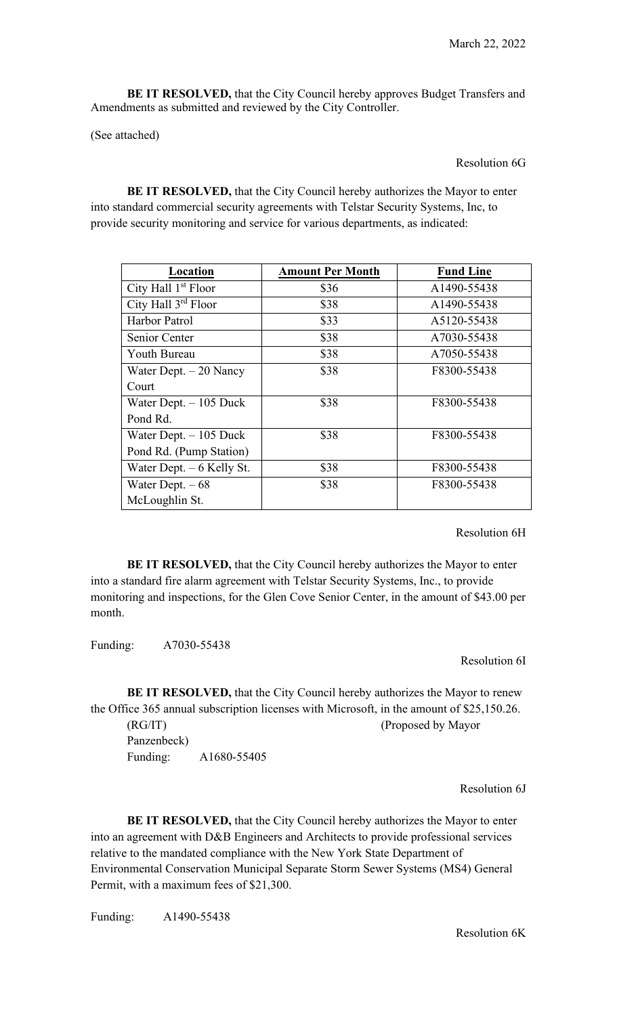**BE IT RESOLVED,** that the City Council hereby approves Budget Transfers and Amendments as submitted and reviewed by the City Controller.

(See attached)

### Resolution 6G

**BE IT RESOLVED,** that the City Council hereby authorizes the Mayor to enter into standard commercial security agreements with Telstar Security Systems, Inc, to provide security monitoring and service for various departments, as indicated:

| Location                        | <b>Amount Per Month</b> | <b>Fund Line</b> |
|---------------------------------|-------------------------|------------------|
| City Hall 1 <sup>st</sup> Floor | \$36                    | A1490-55438      |
| City Hall 3rd Floor             | \$38                    | A1490-55438      |
| Harbor Patrol                   | \$33                    | A5120-55438      |
| Senior Center                   | \$38                    | A7030-55438      |
| Youth Bureau                    | \$38                    | A7050-55438      |
| Water Dept. $-20$ Nancy         | \$38                    | F8300-55438      |
| Court                           |                         |                  |
| Water Dept. $-105$ Duck         | \$38                    | F8300-55438      |
| Pond Rd.                        |                         |                  |
| Water Dept. $-105$ Duck         | \$38                    | F8300-55438      |
| Pond Rd. (Pump Station)         |                         |                  |
| Water Dept. $-6$ Kelly St.      | \$38                    | F8300-55438      |
| Water Dept. $-68$               | \$38                    | F8300-55438      |
| McLoughlin St.                  |                         |                  |

Resolution 6H

**BE IT RESOLVED,** that the City Council hereby authorizes the Mayor to enter into a standard fire alarm agreement with Telstar Security Systems, Inc., to provide monitoring and inspections, for the Glen Cove Senior Center, in the amount of \$43.00 per month.

Funding: A7030-55438

Resolution 6I

**BE IT RESOLVED,** that the City Council hereby authorizes the Mayor to renew the Office 365 annual subscription licenses with Microsoft, in the amount of \$25,150.26. (RG/IT) (Proposed by Mayor Panzenbeck) Funding: A1680-55405

Resolution 6J

**BE IT RESOLVED,** that the City Council hereby authorizes the Mayor to enter into an agreement with D&B Engineers and Architects to provide professional services relative to the mandated compliance with the New York State Department of Environmental Conservation Municipal Separate Storm Sewer Systems (MS4) General Permit, with a maximum fees of \$21,300.

Funding: A1490-55438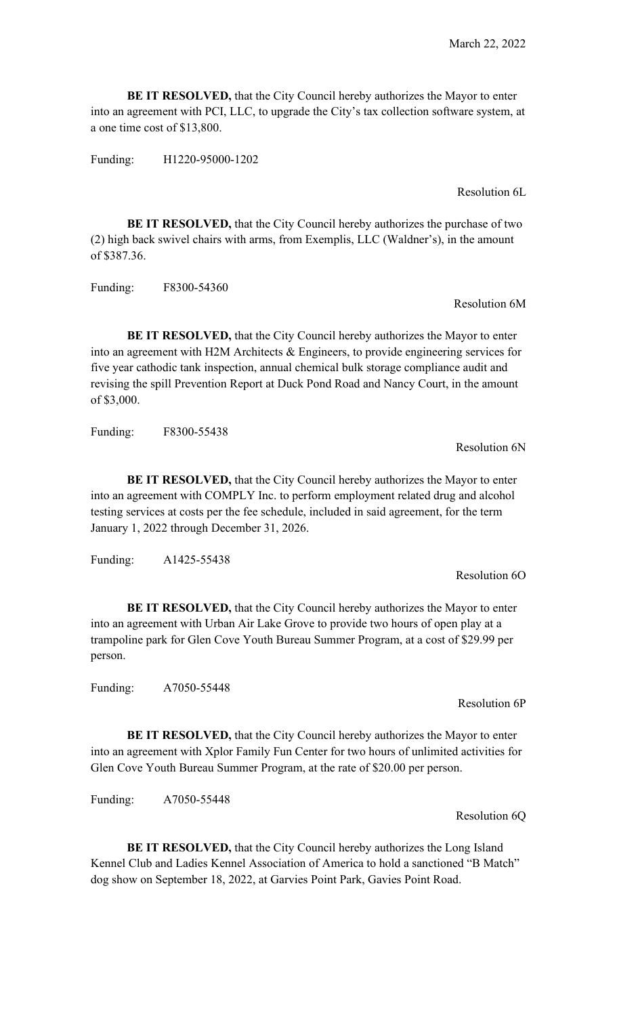**BE IT RESOLVED,** that the City Council hereby authorizes the Mayor to enter into an agreement with PCI, LLC, to upgrade the City's tax collection software system, at a one time cost of \$13,800.

Funding: H1220-95000-1202

Resolution 6L

**BE IT RESOLVED,** that the City Council hereby authorizes the purchase of two (2) high back swivel chairs with arms, from Exemplis, LLC (Waldner's), in the amount of \$387.36.

Funding: F8300-54360

Resolution 6M

**BE IT RESOLVED,** that the City Council hereby authorizes the Mayor to enter into an agreement with H2M Architects & Engineers, to provide engineering services for five year cathodic tank inspection, annual chemical bulk storage compliance audit and revising the spill Prevention Report at Duck Pond Road and Nancy Court, in the amount of \$3,000.

Funding: F8300-55438

Resolution 6N

**BE IT RESOLVED,** that the City Council hereby authorizes the Mayor to enter into an agreement with COMPLY Inc. to perform employment related drug and alcohol testing services at costs per the fee schedule, included in said agreement, for the term January 1, 2022 through December 31, 2026.

Funding: A1425-55438

**BE IT RESOLVED,** that the City Council hereby authorizes the Mayor to enter into an agreement with Urban Air Lake Grove to provide two hours of open play at a trampoline park for Glen Cove Youth Bureau Summer Program, at a cost of \$29.99 per person.

Funding: A7050-55448

Resolution 6P

**BE IT RESOLVED,** that the City Council hereby authorizes the Mayor to enter into an agreement with Xplor Family Fun Center for two hours of unlimited activities for Glen Cove Youth Bureau Summer Program, at the rate of \$20.00 per person.

Funding: A7050-55448

Resolution 6Q

**BE IT RESOLVED,** that the City Council hereby authorizes the Long Island Kennel Club and Ladies Kennel Association of America to hold a sanctioned "B Match" dog show on September 18, 2022, at Garvies Point Park, Gavies Point Road.

Resolution 6O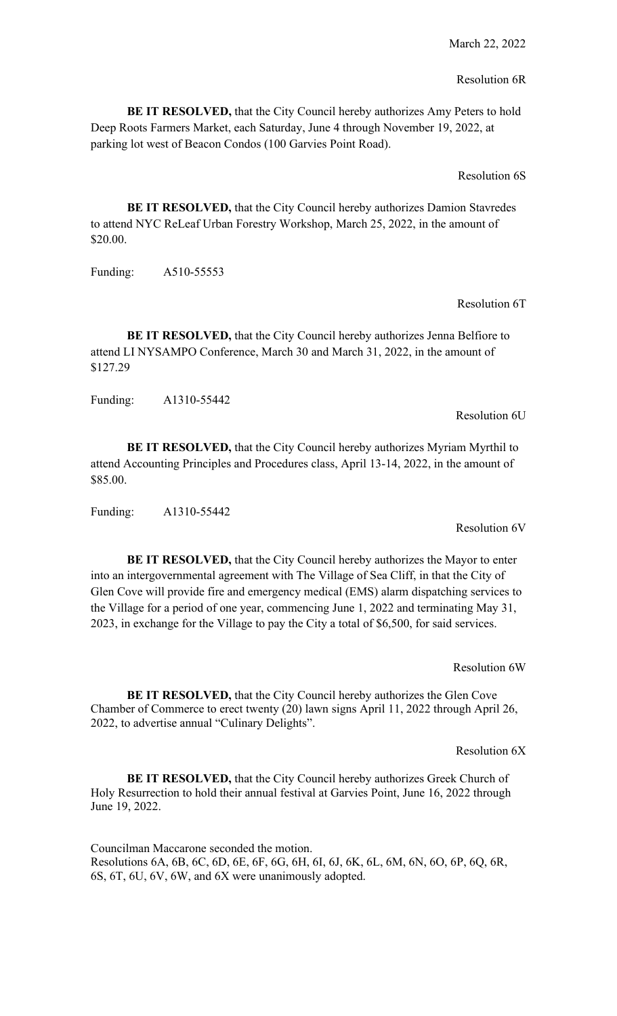#### Resolution 6R

**BE IT RESOLVED,** that the City Council hereby authorizes Amy Peters to hold Deep Roots Farmers Market, each Saturday, June 4 through November 19, 2022, at parking lot west of Beacon Condos (100 Garvies Point Road).

Resolution 6S

**BE IT RESOLVED,** that the City Council hereby authorizes Damion Stavredes to attend NYC ReLeaf Urban Forestry Workshop, March 25, 2022, in the amount of \$20.00.

Funding: A510-55553

#### Resolution 6T

**BE IT RESOLVED, that the City Council hereby authorizes Jenna Belfiore to** attend LI NYSAMPO Conference, March 30 and March 31, 2022, in the amount of \$127.29

Funding: A1310-55442

Resolution 6U

**BE IT RESOLVED,** that the City Council hereby authorizes Myriam Myrthil to attend Accounting Principles and Procedures class, April 13-14, 2022, in the amount of \$85.00.

Funding: A1310-55442

Resolution 6V

**BE IT RESOLVED,** that the City Council hereby authorizes the Mayor to enter into an intergovernmental agreement with The Village of Sea Cliff, in that the City of Glen Cove will provide fire and emergency medical (EMS) alarm dispatching services to the Village for a period of one year, commencing June 1, 2022 and terminating May 31, 2023, in exchange for the Village to pay the City a total of \$6,500, for said services.

Resolution 6W

**BE IT RESOLVED,** that the City Council hereby authorizes the Glen Cove Chamber of Commerce to erect twenty (20) lawn signs April 11, 2022 through April 26, 2022, to advertise annual "Culinary Delights".

Resolution 6X

**BE IT RESOLVED,** that the City Council hereby authorizes Greek Church of Holy Resurrection to hold their annual festival at Garvies Point, June 16, 2022 through June 19, 2022.

Councilman Maccarone seconded the motion. Resolutions 6A, 6B, 6C, 6D, 6E, 6F, 6G, 6H, 6I, 6J, 6K, 6L, 6M, 6N, 6O, 6P, 6Q, 6R, 6S, 6T, 6U, 6V, 6W, and 6X were unanimously adopted.